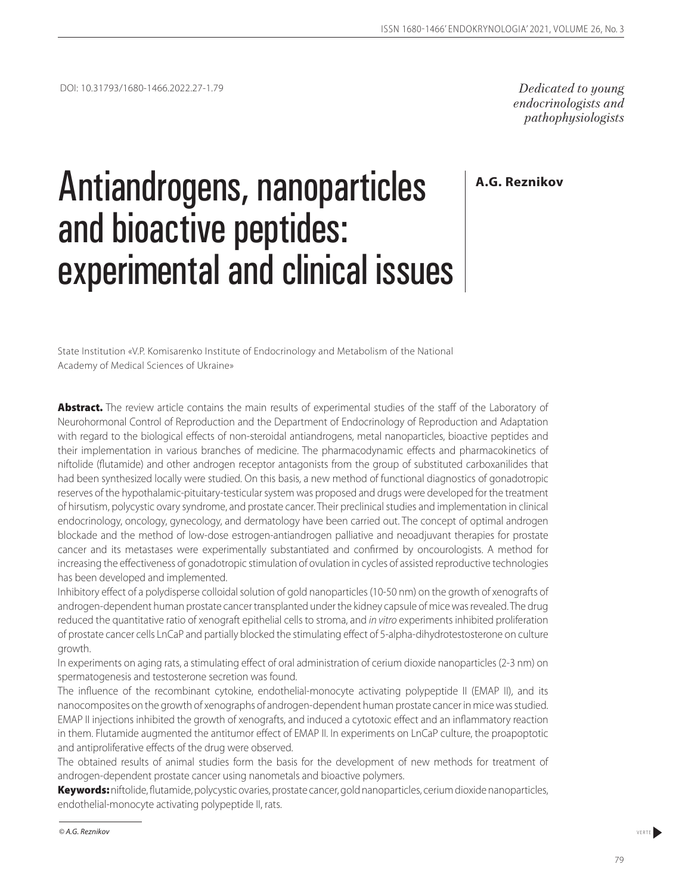*endocrinologists and pathophysiologists*

**A.G. Reznikov**

# Antiandrogens, nanoparticles and bioactive peptides: experimental and clinical issues

State Institution «V.P. Komisarenko Institute of Endocrinology and Metabolism of the National Academy of Medical Sciences of Ukraine»

Abstract. The review article contains the main results of experimental studies of the staff of the Laboratory of Neurohormonal Control of Reproduction and the Department of Endocrinology of Reproduction and Adaptation with regard to the biological effects of non-steroidal antiandrogens, metal nanoparticles, bioactive peptides and their implementation in various branches of medicine. The pharmacodynamic effects and pharmacokinetics of niftolide (flutamide) and other androgen receptor antagonists from the group of substituted carboxanilides that had been synthesized locally were studied. On this basis, a new method of functional diagnostics of gonadotropic reserves of the hypothalamic-pituitary-testicular system was proposed and drugs were developed for the treatment of hirsutism, polycystic ovary syndrome, and prostate cancer. Their preclinical studies and implementation in clinical endocrinology, oncology, gynecology, and dermatology have been carried out. The concept of optimal androgen blockade and the method of low-dose estrogen-antiandrogen palliative and neoadjuvant therapies for prostate cancer and its metastases were experimentally substantiated and confirmed by oncourologists. A method for increasing the effectiveness of gonadotropic stimulation of ovulation in cycles of assisted reproductive technologies has been developed and implemented.

Inhibitory effect of a polydisperse colloidal solution of gold nanoparticles (10-50 nm) on the growth of xenografts of androgen-dependent human prostate cancer transplanted under the kidney capsule of mice was revealed. The drug reduced the quantitative ratio of xenograft epithelial cells to stroma, and *in vitro* experiments inhibited proliferation of prostate cancer cells LnCaP and partially blocked the stimulating effect of 5-alpha-dihydrotestosterone on culture growth.

In experiments on aging rats, a stimulating effect of oral administration of cerium dioxide nanoparticles (2-3 nm) on spermatogenesis and testosterone secretion was found.

The influence of the recombinant cytokine, endothelial-monocyte activating polypeptide II (EMAP II), and its nanocomposites on the growth of xenographs of androgen-dependent human prostate cancer in mice was studied. EMAP II injections inhibited the growth of xenografts, and induced a cytotoxic effect and an inflammatory reaction in them. Flutamide augmented the antitumor effect of EMAP II. In experiments on LnCaP culture, the proapoptotic and antiproliferative effects of the drug were observed.

The obtained results of animal studies form the basis for the development of new methods for treatment of androgen-dependent prostate cancer using nanometals and bioactive polymers.

Keywords: niftolide, flutamide, polycystic ovaries, prostate cancer, gold nanoparticles, cerium dioxide nanoparticles, endothelial-monocyte activating polypeptide II, rats.

**<sup>©</sup> A.G. Reznikov** verte verte verte verte verte verte verte verte verte verte verte verte verte verte verte verte verte verte verte verte verte verte verte verte verte verte verte verte verte verte verte verte verte verte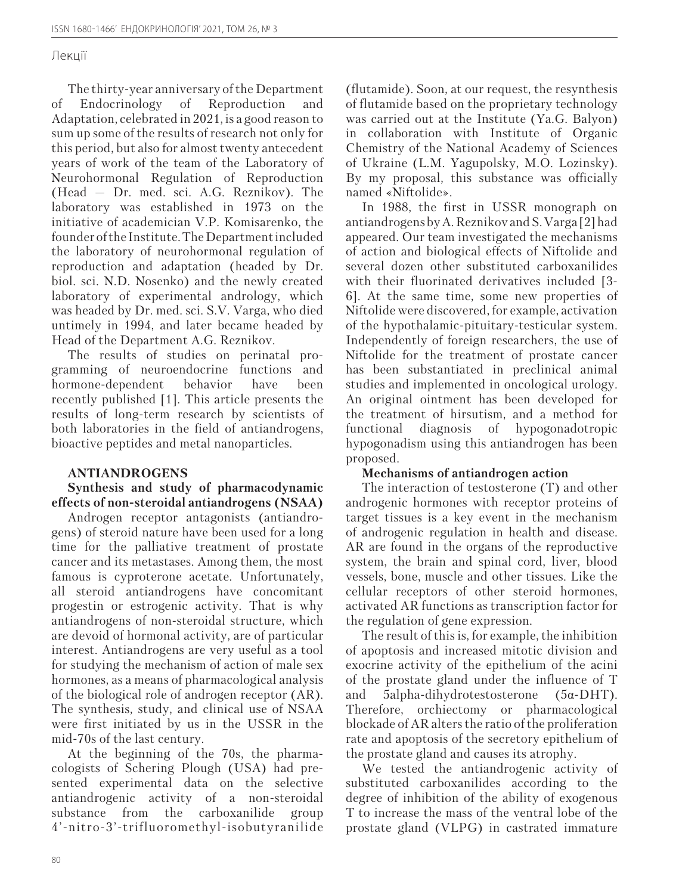The thirty-year anniversary of the Department of Endocrinology of Reproduction and Adaptation, celebrated in 2021, is a good reason to sum up some of the results of research not only for this period, but also for almost twenty antecedent years of work of the team of the Laboratory of Neurohormonal Regulation of Reproduction (Head — Dr. med. sci. A.G. Reznikov). The laboratory was established in 1973 on the initiative of academician V.P. Komisarenko, the founder of the Institute. The Department included the laboratory of neurohormonal regulation of reproduction and adaptation (headed by Dr. biol. sci. N.D. Nosenko) and the newly created laboratory of experimental andrology, which was headed by Dr. med. sci. S.V. Varga, who died untimely in 1994, and later became headed by Head of the Department A.G. Reznikov.

The results of studies on perinatal programming of neuroendocrine functions and hormone-dependent behavior have been recently published [1]. This article presents the results of long-term research by scientists of both laboratories in the field of antiandrogens, bioactive peptides and metal nanoparticles.

## **ANTIANDROGENS**

### **Synthesis and study of pharmacodynamic effects of non-steroidal antiandrogens (NSAA)**

Androgen receptor antagonists (antiandrogens) of steroid nature have been used for a long time for the palliative treatment of prostate cancer and its metastases. Among them, the most famous is cyproterone acetate. Unfortunately, all steroid antiandrogens have concomitant progestin or estrogenic activity. That is why antiandrogens of non-steroidal structure, which are devoid of hormonal activity, are of particular interest. Antiandrogens are very useful as a tool for studying the mechanism of action of male sex hormones, as a means of pharmacological analysis of the biological role of androgen receptor (AR). The synthesis, study, and clinical use of NSAA were first initiated by us in the USSR in the mid-70s of the last century.

At the beginning of the 70s, the pharmacologists of Schering Plough (USA) had presented experimental data on the selective antiandrogenic activity of a non-steroidal substance from the carboxanilide group 4'-nitro-3'-trifluoromethyl-isobutyranilide (flutamide). Soon, at our request, the resynthesis of flutamide based on the proprietary technology was carried out at the Institute (Ya.G. Balyon) in collaboration with Institute of Organic Chemistry of the National Academy of Sciences of Ukraine (L.M. Yagupolsky, M.O. Lozinsky). By my proposal, this substance was officially named «Niftolide».

In 1988, the first in USSR monograph on antiandrogens by A.Reznikov and S.Varga [2] had appeared. Our team investigated the mechanisms of action and biological effects of Niftolide and several dozen other substituted carboxanilides with their fluorinated derivatives included [3- 6]. At the same time, some new properties of Niftolide were discovered, for example, activation of the hypothalamic-pituitary-testicular system. Independently of foreign researchers, the use of Niftolide for the treatment of prostate cancer has been substantiated in preclinical animal studies and implemented in oncological urology. An original ointment has been developed for the treatment of hirsutism, and a method for functional diagnosis of hypogonadotropic hypogonadism using this antiandrogen has been proposed.

## **Mechanisms of antiandrogen action**

The interaction of testosterone (T) and other androgenic hormones with receptor proteins of target tissues is a key event in the mechanism of androgenic regulation in health and disease. AR are found in the organs of the reproductive system, the brain and spinal cord, liver, blood vessels, bone, muscle and other tissues. Like the cellular receptors of other steroid hormones, activated AR functions as transcription factor for the regulation of gene expression.

The result of this is, for example, the inhibition of apoptosis and increased mitotic division and exocrine activity of the epithelium of the acini of the prostate gland under the influence of T and 5alpha-dihydrotestosterone (5α-DHT). Therefore, orchiectomy or pharmacological blockade of AR alters the ratio of the proliferation rate and apoptosis of the secretory epithelium of the prostate gland and causes its atrophy.

We tested the antiandrogenic activity of substituted carboxanilides according to the degree of inhibition of the ability of exogenous T to increase the mass of the ventral lobe of the prostate gland (VLPG) in castrated immature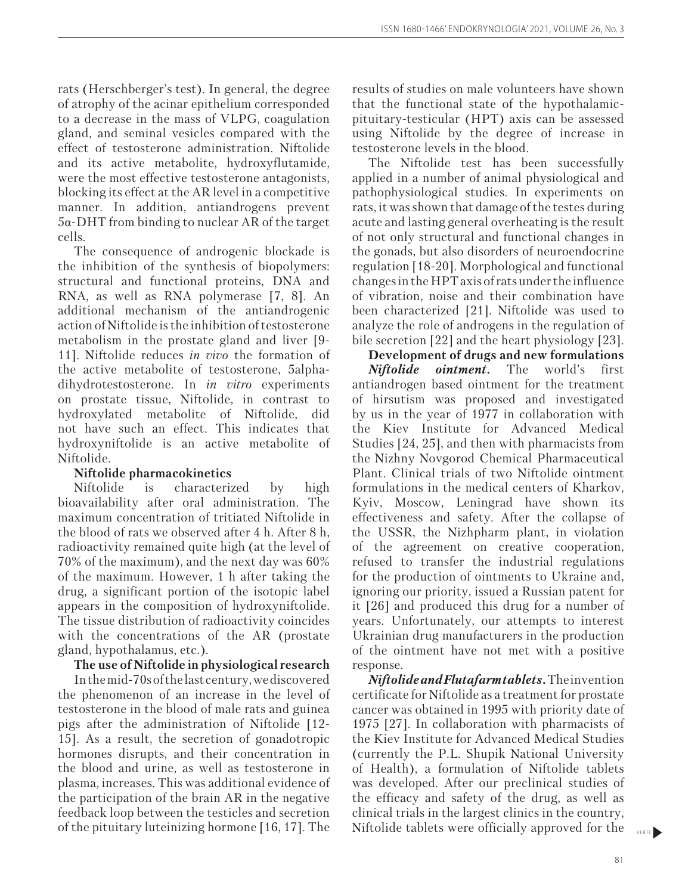rats (Herschberger's test). In general, the degree of atrophy of the acinar epithelium corresponded to a decrease in the mass of VLPG, coagulation gland, and seminal vesicles compared with the effect of testosterone administration. Niftolide and its active metabolite, hydroxyflutamide, were the most effective testosterone antagonists, blocking its effect at the AR level in a competitive manner. In addition, antiandrogens prevent 5α-DHT from binding to nuclear AR of the target cells.

The consequence of androgenic blockade is the inhibition of the synthesis of biopolymers: structural and functional proteins, DNA and RNA, as well as RNA polymerase [7, 8]. An additional mechanism of the antiandrogenic action of Niftolide is the inhibition of testosterone metabolism in the prostate gland and liver [9- 11]. Niftolide reduces *in vivo* the formation of the active metabolite of testosterone, 5alphadihydrotestosterone. In *in vitro* experiments on prostate tissue, Niftolide, in contrast to hydroxylated metabolite of Niftolide, did not have such an effect. This indicates that hydroxyniftolide is an active metabolite of Niftolide.

## **Niftolide pharmacokinetics**

Niftolide is characterized by high bioavailability after oral administration. The maximum concentration of tritiated Niftolide in the blood of rats we observed after 4 h. After 8 h, radioactivity remained quite high (at the level of 70% of the maximum), and the next day was 60% of the maximum. However, 1 h after taking the drug, a significant portion of the isotopic label appears in the composition of hydroxyniftolide. The tissue distribution of radioactivity coincides with the concentrations of the AR (prostate gland, hypothalamus, etc.).

## **The use of Niftolide in physiological research**

In the mid-70s of the last century, we discovered the phenomenon of an increase in the level of testosterone in the blood of male rats and guinea pigs after the administration of Niftolide [12- 15]. As a result, the secretion of gonadotropic hormones disrupts, and their concentration in the blood and urine, as well as testosterone in plasma, increases. This was additional evidence of the participation of the brain AR in the negative feedback loop between the testicles and secretion of the pituitary luteinizing hormone [16, 17]. The results of studies on male volunteers have shown that the functional state of the hypothalamicpituitary-testicular (HPT) axis can be assessed using Niftolide by the degree of increase in testosterone levels in the blood.

The Niftolide test has been successfully applied in a number of animal physiological and pathophysiological studies. In experiments on rats, it was shown that damage of the testes during acute and lasting general overheating is the result of not only structural and functional changes in the gonads, but also disorders of neuroendocrine regulation [18-20]. Morphological and functional changes in the HPT axis of rats under the influence of vibration, noise and their combination have been characterized [21]. Niftolide was used to analyze the role of androgens in the regulation of bile secretion [22] and the heart physiology [23].

**Development of drugs and new formulations** *Niftolide ointment.* The world's first antiandrogen based ointment for the treatment of hirsutism was proposed and investigated by us in the year of 1977 in collaboration with the Kiev Institute for Advanced Medical Studies [24, 25], and then with pharmacists from the Nizhny Novgorod Chemical Pharmaceutical Plant. Clinical trials of two Niftolide ointment formulations in the medical centers of Kharkov, Kyiv, Moscow, Leningrad have shown its effectiveness and safety. After the collapse of the USSR, the Nizhpharm plant, in violation of the agreement on creative cooperation, refused to transfer the industrial regulations for the production of ointments to Ukraine and, ignoring our priority, issued a Russian patent for it [26] and produced this drug for a number of years. Unfortunately, our attempts to interest Ukrainian drug manufacturers in the production of the ointment have not met with a positive response.

*Niftolide and Flutafarm tablets.* The invention certificate for Niftolide as a treatment for prostate cancer was obtained in 1995 with priority date of 1975 [27]. In collaboration with pharmacists of the Kiev Institute for Advanced Medical Studies (currently the P.L. Shupik National University of Health), a formulation of Niftolide tablets was developed. After our preclinical studies of the efficacy and safety of the drug, as well as clinical trials in the largest clinics in the country, Niftolide tablets were officially approved for the

81

VERTE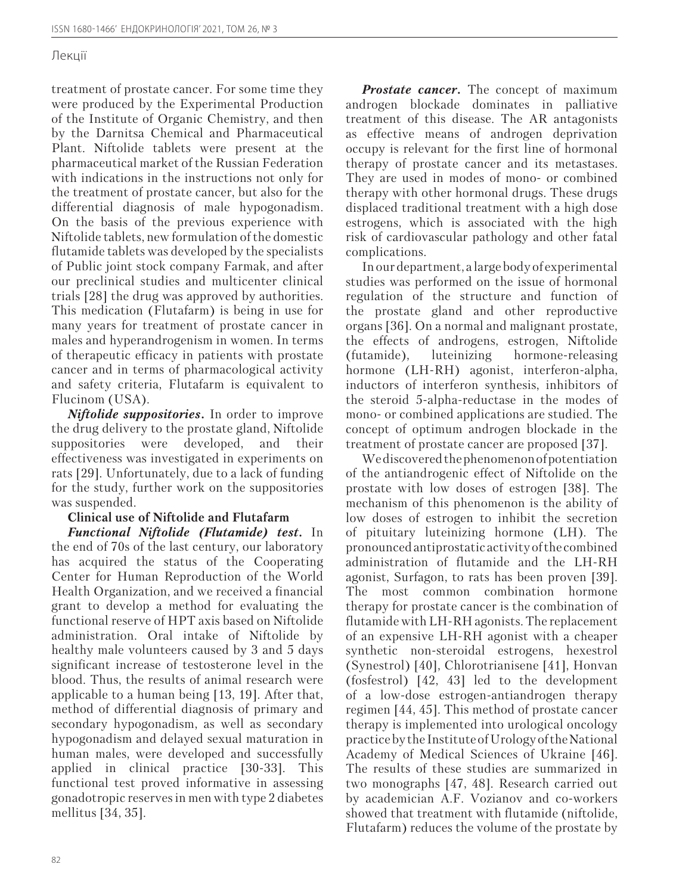treatment of prostate cancer. For some time they were produced by the Experimental Production of the Institute of Organic Chemistry, and then by the Darnitsa Chemical and Pharmaceutical Plant. Niftolide tablets were present at the pharmaceutical market of the Russian Federation with indications in the instructions not only for the treatment of prostate cancer, but also for the differential diagnosis of male hypogonadism. On the basis of the previous experience with Niftolide tablets, new formulation of the domestic flutamide tablets was developed by the specialists of Public joint stock company Farmak, and after our preclinical studies and multicenter clinical trials [28] the drug was approved by authorities. This medication (Flutafarm) is being in use for many years for treatment of prostate cancer in males and hyperandrogenism in women. In terms of therapeutic efficacy in patients with prostate cancer and in terms of pharmacological activity and safety criteria, Flutafarm is equivalent to Flucinom (USA).

*Niftolide suppositories.* In order to improve the drug delivery to the prostate gland, Niftolide suppositories were developed, and their effectiveness was investigated in experiments on rats [29]. Unfortunately, due to a lack of funding for the study, further work on the suppositories was suspended.

## **Clinical use of Niftolide and Flutafarm**

*Functional Niftolide (Flutamide) test.* In the end of 70s of the last century, our laboratory has acquired the status of the Cooperating Center for Human Reproduction of the World Health Organization, and we received a financial grant to develop a method for evaluating the functional reserve of HPT axis based on Niftolide administration. Oral intake of Niftolide by healthy male volunteers caused by 3 and 5 days significant increase of testosterone level in the blood. Thus, the results of animal research were applicable to a human being [13, 19]. After that, method of differential diagnosis of primary and secondary hypogonadism, as well as secondary hypogonadism and delayed sexual maturation in human males, were developed and successfully applied in clinical practice [30-33]. This functional test proved informative in assessing gonadotropic reserves in men with type 2 diabetes mellitus [34, 35].

*Prostate cancer.* The concept of maximum androgen blockade dominates in palliative treatment of this disease. The AR antagonists as effective means of androgen deprivation occupy is relevant for the first line of hormonal therapy of prostate cancer and its metastases. They are used in modes of mono- or combined therapy with other hormonal drugs. These drugs displaced traditional treatment with a high dose estrogens, which is associated with the high risk of cardiovascular pathology and other fatal complications.

In our department, a large body of experimental studies was performed on the issue of hormonal regulation of the structure and function of the prostate gland and other reproductive organs [36]. On a normal and malignant prostate, the effects of androgens, estrogen, Niftolide (futamide), luteinizing hormone-releasing hormone (LH-RH) agonist, interferon-alpha, inductors of interferon synthesis, inhibitors of the steroid 5-alpha-reductase in the modes of mono- or combined applications are studied. The concept of optimum androgen blockade in the treatment of prostate cancer are proposed [37].

We discovered the phenomenon of potentiation of the antiandrogenic effect of Niftolide on the prostate with low doses of estrogen [38]. The mechanism of this phenomenon is the ability of low doses of estrogen to inhibit the secretion of pituitary luteinizing hormone (LH). The pronounced antiprostatic activity of the combined administration of flutamide and the LH-RH agonist, Surfagon, to rats has been proven [39]. The most common combination hormone therapy for prostate cancer is the combination of flutamide with LH-RH agonists. The replacement of an expensive LH-RH agonist with a cheaper synthetic non-steroidal estrogens, hexestrol (Synestrol) [40], Chlorotrianisene [41], Honvan (fosfestrol) [42, 43] led to the development of a low-dose estrogen-antiandrogen therapy regimen [44, 45]. This method of prostate cancer therapy is implemented into urological oncology practice by the Institute of Urology of the National Academy of Medical Sciences of Ukraine [46]. The results of these studies are summarized in two monographs [47, 48]. Research carried out by academician A.F. Vozianov and co-workers showed that treatment with flutamide (niftolide, Flutafarm) reduces the volume of the prostate by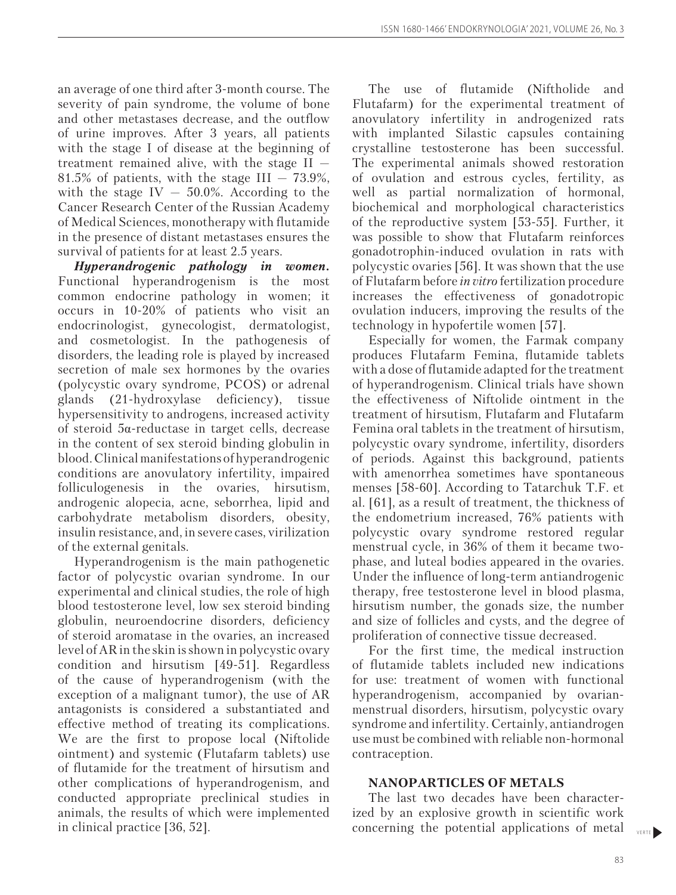an average of one third after 3-month course. The severity of pain syndrome, the volume of bone and other metastases decrease, and the outflow of urine improves. After 3 years, all patients with the stage I of disease at the beginning of treatment remained alive, with the stage II — 81.5% of patients, with the stage III  $-73.9\%$ , with the stage IV  $-$  50.0%. According to the Cancer Research Center of the Russian Academy of Medical Sciences, monotherapy with flutamide in the presence of distant metastases ensures the survival of patients for at least 2.5 years.

*Hyperandrogenic pathology in women.*  Functional hyperandrogenism is the most common endocrine pathology in women; it occurs in 10-20% of patients who visit an endocrinologist, gynecologist, dermatologist, and cosmetologist. In the pathogenesis of disorders, the leading role is played by increased secretion of male sex hormones by the ovaries (polycystic ovary syndrome, PCOS) or adrenal glands (21-hydroxylase deficiency), tissue hypersensitivity to androgens, increased activity of steroid 5α-reductase in target cells, decrease in the content of sex steroid binding globulin in blood. Clinical manifestations of hyperandrogenic conditions are anovulatory infertility, impaired folliculogenesis in the ovaries, hirsutism, androgenic alopecia, acne, seborrhea, lipid and carbohydrate metabolism disorders, obesity, insulin resistance, and, in severe cases, virilization of the external genitals.

Hyperandrogenism is the main pathogenetic factor of polycystic ovarian syndrome. In our experimental and clinical studies, the role of high blood testosterone level, low sex steroid binding globulin, neuroendocrine disorders, deficiency of steroid aromatase in the ovaries, an increased level of AR in the skin is shown in polycystic ovary condition and hirsutism [49-51]. Regardless of the cause of hyperandrogenism (with the exception of a malignant tumor), the use of AR antagonists is considered a substantiated and effective method of treating its complications. We are the first to propose local (Niftolide ointment) and systemic (Flutafarm tablets) use of flutamide for the treatment of hirsutism and other complications of hyperandrogenism, and conducted appropriate preclinical studies in animals, the results of which were implemented in clinical practice [36, 52].

The use of flutamide (Niftholide and Flutafarm) for the experimental treatment of anovulatory infertility in androgenized rats with implanted Silastic capsules containing crystalline testosterone has been successful. The experimental animals showed restoration of ovulation and estrous cycles, fertility, as well as partial normalization of hormonal, biochemical and morphological characteristics of the reproductive system [53-55]. Further, it was possible to show that Flutafarm reinforces gonadotrophin-induced ovulation in rats with polycystic ovaries [56]. It was shown that the use of Flutafarm before *in vitro* fertilization procedure increases the effectiveness of gonadotropic ovulation inducers, improving the results of the technology in hypofertile women [57].

Especially for women, the Farmak company produces Flutafarm Femina, flutamide tablets with a dose of flutamide adapted for the treatment of hyperandrogenism. Clinical trials have shown the effectiveness of Niftolide ointment in the treatment of hirsutism, Flutafarm and Flutafarm Femina oral tablets in the treatment of hirsutism, polycystic ovary syndrome, infertility, disorders of periods. Against this background, patients with amenorrhea sometimes have spontaneous menses [58-60]. According to Tatarchuk T.F. et al. [61], as a result of treatment, the thickness of the endometrium increased, 76% patients with polycystic ovary syndrome restored regular menstrual cycle, in 36% of them it became twophase, and luteal bodies appeared in the ovaries. Under the influence of long-term antiandrogenic therapy, free testosterone level in blood plasma, hirsutism number, the gonads size, the number and size of follicles and cysts, and the degree of proliferation of connective tissue decreased.

For the first time, the medical instruction of flutamide tablets included new indications for use: treatment of women with functional hyperandrogenism, accompanied by ovarianmenstrual disorders, hirsutism, polycystic ovary syndrome and infertility. Certainly, antiandrogen use must be combined with reliable non-hormonal contraception.

## **NANOPARTICLES OF METALS**

The last two decades have been characterized by an explosive growth in scientific work concerning the potential applications of metal

VERTE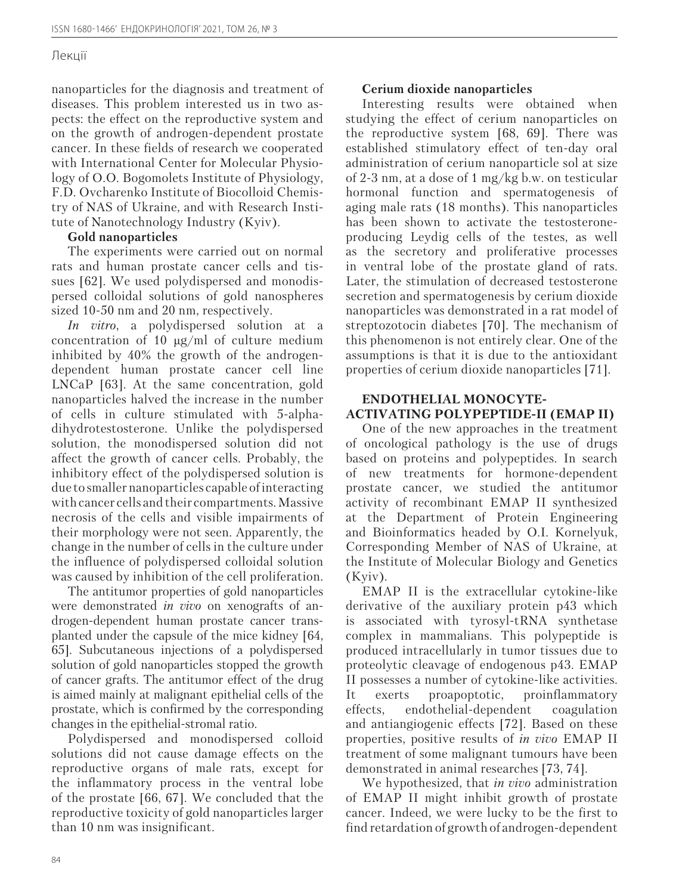nanoparticles for the diagnosis and treatment of diseases. This problem interested us in two aspects: the effect on the reproductive system and on the growth of androgen-dependent prostate cancer. In these fields of research we cooperated with International Center for Molecular Physiology of O.O. Bogomolets Institute of Physiology, F.D. Ovcharenko Institute of Biocolloid Chemistry of NAS of Ukraine, and with Research Institute of Nanotechnology Industry (Kyiv).

### **Gold nanoparticles**

The experiments were carried out on normal rats and human prostate cancer cells and tissues [62]. We used polydispersed and monodispersed colloidal solutions of gold nanospheres sized 10-50 nm and 20 nm, respectively.

*In vitro*, a polydispersed solution at a concentration of 10 μg/ml of culture medium inhibited by 40% the growth of the androgendependent human prostate cancer cell line LNCaP [63]. At the same concentration, gold nanoparticles halved the increase in the number of cells in culture stimulated with 5-alphadihydrotestosterone. Unlike the polydispersed solution, the monodispersed solution did not affect the growth of cancer cells. Probably, the inhibitory effect of the polydispersed solution is due to smaller nanoparticles capable of interacting with cancer cells and their compartments. Massive necrosis of the cells and visible impairments of their morphology were not seen. Apparently, the change in the number of cells in the culture under the influence of polydispersed colloidal solution was caused by inhibition of the cell proliferation.

The antitumor properties of gold nanoparticles were demonstrated *in vivo* on xenografts of androgen-dependent human prostate cancer transplanted under the capsule of the mice kidney [64, 65]. Subcutaneous injections of a polydispersed solution of gold nanoparticles stopped the growth of cancer grafts. The antitumor effect of the drug is aimed mainly at malignant epithelial cells of the prostate, which is confirmed by the corresponding changes in the epithelial-stromal ratio.

Polydispersed and monodispersed colloid solutions did not cause damage effects on the reproductive organs of male rats, except for the inflammatory process in the ventral lobe of the prostate [66, 67]. We concluded that the reproductive toxicity of gold nanoparticles larger than 10 nm was insignificant.

### **Cerium dioxide nanoparticles**

Interesting results were obtained when studying the effect of cerium nanoparticles on the reproductive system [68, 69]. There was established stimulatory effect of ten-day oral administration of cerium nanoparticle sol at size of 2-3 nm, at a dose of 1 mg/kg b.w. on testicular hormonal function and spermatogenesis of aging male rats (18 months). This nanoparticles has been shown to activate the testosteroneproducing Leydig cells of the testes, as well as the secretory and proliferative processes in ventral lobe of the prostate gland of rats. Later, the stimulation of decreased testosterone secretion and spermatogenesis by cerium dioxide nanoparticles was demonstrated in a rat model of streptozotocin diabetes [70]. The mechanism of this phenomenon is not entirely clear. One of the assumptions is that it is due to the antioxidant properties of cerium dioxide nanoparticles [71].

## **ENDOTHELIAL MONOCYTE-ACTIVATING POLYPEPTIDE-II (EMAP II)**

One of the new approaches in the treatment of oncological pathology is the use of drugs based on proteins and polypeptides. In search of new treatments for hormone-dependent prostate cancer, we studied the antitumor activity of recombinant EMAP II synthesized at the Department of Protein Engineering and Bioinformatics headed by O.I. Kornelyuk, Corresponding Member of NAS of Ukraine, at the Institute of Molecular Biology and Genetics (Kyiv).

EMAP II is the extracellular cytokine-like derivative of the auxiliary protein p43 which is associated with tyrosyl-tRNA synthetase complex in mammalians. This polypeptide is produced intracellularly in tumor tissues due to proteolytic cleavage of endogenous p43. EMAP II possesses a number of cytokine-like activities. It exerts proapoptotic, proinflammatory effects, endothelial-dependent coagulation and antiangiogenic effects [72]. Based on these properties, positive results of *in vivo* EMAP II treatment of some malignant tumours have been demonstrated in animal researches [73, 74].

We hypothesized, that *in vivo* administration of EMAP II might inhibit growth of prostate cancer. Indeed, we were lucky to be the first to find retardation of growth of androgen-dependent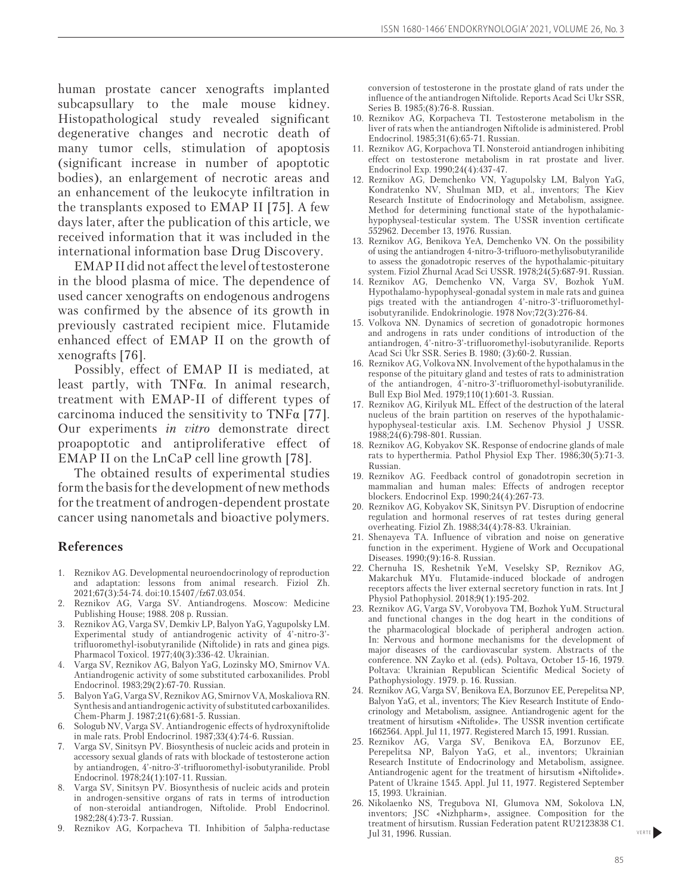human prostate cancer xenografts implanted subcapsullary to the male mouse kidney. Histopathological study revealed significant degenerative changes and necrotic death of many tumor cells, stimulation of apoptosis (significant increase in number of apoptotic bodies), an enlargement of necrotic areas and an enhancement of the leukocyte infiltration in the transplants exposed to EMAP II [75]. A few days later, after the publication of this article, we received information that it was included in the international information base Drug Discovery.

EMAP II did not affect the level of testosterone in the blood plasma of mice. The dependence of used cancer xenografts on endogenous androgens was confirmed by the absence of its growth in previously castrated recipient mice. Flutamide enhanced effect of EMAP II on the growth of xenografts [76].

Possibly, effect of EMAP II is mediated, at least partly, with TNFα. In animal research, treatment with EMAP-II of different types of carcinoma induced the sensitivity to TNFα [77]. Our experiments *in vitro* demonstrate direct proapoptotic and antiproliferative effect of EMAP II on the LnCaP cell line growth [78].

The obtained results of experimental studies form the basis for the development of new methods for the treatment of androgen-dependent prostate cancer using nanometals and bioactive polymers.

#### **References**

- 1. Reznikov AG. Developmental neuroendocrinology of reproduction and adaptation: lessons from animal research. Fiziol Zh. 2021;67(3):54-74. doi:10.15407/fz67.03.054.
- 2. Reznikov AG, Varga SV. Antiandrogens. Moscow: Medicine Publishing House; 1988. 208 p. Russian.
- 3. Reznikov AG, Varga SV, Demkiv LP, Balyon YaG, Yagupolsky LM. Experimental study of antiandrogenic activity of 4'-nitro-3' trifluoromethyl-isobutyranilide (Niftolide) in rats and ginea pigs. Pharmacol Toxicol. 1977;40(3):336-42. Ukrainian.
- 4. Varga SV, Reznikov AG, Balyon YaG, Lozinsky MO, Smirnov VA. Antiandrogenic activity of some substituted carboxanilides. Probl Endocrinol. 1983;29(2):67-70. Russian.
- 5. Balyon YaG, Varga SV, Reznikov AG, Smirnov VA, Moskaliova RN. Synthesis and antiandrogenic activity of substituted carboxanilides. Chem-Pharm J. 1987;21(6):681-5. Russian.
- 6. Sologub NV, Varga SV. Antiandrogenic effects of hydroxyniftolide in male rats. Probl Endocrinol. 1987;33(4):74-6. Russian.
- 7. Varga SV, Sinitsyn PV. Biosynthesis of nucleic acids and protein in accessory sexual glands of rats with blockade of testosterone action by antiandrogen, 4'-nitro-3'-trifluoromethyl-isobutyranilide. Probl Endocrinol. 1978;24(1):107-11. Russian.
- 8. Varga SV, Sinitsyn PV. Biosynthesis of nucleic acids and protein in androgen-sensitive organs of rats in terms of introduction of non-steroidal antiandrogen, Niftolide. Probl Endocrinol. 1982;28(4):73-7. Russian.
- 9. Reznikov AG, Korpacheva TI. Inhibition of 5alpha-reductase

conversion of testosterone in the prostate gland of rats under the influence of the antiandrogen Niftolide. Reports Acad Sci Ukr SSR, Series B. 1985;(8):76-8. Russian.

- 10. Reznikov AG, Korpacheva TI. Testosterone metabolism in the liver of rats when the antiandrogen Niftolide is administered. Probl Endocrinol. 1985;31(6):65-71. Russian.
- 11. Reznikov AG, Korpachova TI. Nonsteroid antiandrogen inhibiting effect on testosterone metabolism in rat prostate and liver. Endocrinol Exp. 1990;24(4):437-47.
- 12. Reznikov AG, Demchenko VN, Yagupolsky LM, Balyon YaG, Kondratenko NV, Shulman MD, et al., inventors; The Kiev Research Institute of Endocrinology and Metabolism, assignee. Method for determining functional state of the hypothalamichypophyseal-testicular system. The USSR invention certificate 552962. December 13, 1976. Russian.
- 13. Reznikov AG, Benikova YeA, Demchenko VN. On the possibility of using the antiandrogen 4-nitro-3-trifluoro-methylisobutyranilide to assess the gonadotropic reserves of the hypothalamic-pituitary system. Fiziol Zhurnal Acad Sci USSR. 1978;24(5):687-91. Russian.
- 14. Reznikov AG, Demchenko VN, Varga SV, Bozhok YuM. Hypothalamo-hypophyseal-gonadal system in male rats and guinea pigs treated with the antiandrogen 4'-nitro-3'-trifluoromethylisobutyranilide. Endokrinologie. 1978 Nov;72(3):276-84.
- 15. Volkova NN. Dynamics of secretion of gonadotropic hormones and androgens in rats under conditions of introduction of the antiandrogen, 4'-nitro-3'-trifluoromethyl-isobutyranilide. Reports Acad Sci Ukr SSR. Series B. 1980; (3):60-2. Russian.
- 16. Reznikov AG, Volkova NN. Involvement of the hypothalamus in the response of the pituitary gland and testes of rats to administration of the antiandrogen, 4'-nitro-3'-trifluoromethyl-isobutyranilide. Bull Exp Biol Med. 1979;110(1):601-3. Russian.
- 17. Reznikov AG, Kirilyuk ML. Effect of the destruction of the lateral nucleus of the brain partition on reserves of the hypothalamichypophyseal-testicular axis. I.M. Sechenov Physiol J USSR. 1988;24(6):798-801. Russian.
- 18. Reznikov AG, Kobyakov SK. Response of endocrine glands of male rats to hyperthermia. Pathol Physiol Exp Ther. 1986;30(5):71-3. Russian.
- 19. Reznikov AG. Feedback control of gonadotropin secretion in mammalian and human males: Effects of androgen receptor blockers. Endocrinol Exp. 1990;24(4):267-73.
- 20. Reznikov AG, Kobyakov SK, Sinitsyn PV. Disruption of endocrine regulation and hormonal reserves of rat testes during general overheating. Fiziol Zh. 1988;34(4):78-83. Ukrainian.
- 21. Shenayeva TA. Influence of vibration and noise on generative function in the experiment. Hygiene of Work and Occupational Diseases. 1990;(9):16-8. Russian.
- 22. Chernuha IS, Reshetnik YeM, Veselsky SP, Reznikov AG, Makarchuk MYu. Flutamide-induced blockade of androgen receptors affects the liver external secretory function in rats. Int J Physiol Pathophysiol. 2018;9(1):195-202.
- 23. Reznikov AG, Varga SV, Vorobyova TM, Bozhok YuM. Structural and functional changes in the dog heart in the conditions of the pharmacological blockade of peripheral androgen action. In: Nervous and hormone mechanisms for the development of major diseases of the cardiovascular system. Abstracts of the conference. NN Zayko et al. (eds). Poltava, October 15-16, 1979. Poltava: Ukrainian Republican Scientific Medical Society of Pathophysiology. 1979. p. 16. Russian.
- 24. Reznikov AG, Varga SV, Benikova EA, Borzunov EE, Perepelitsa NP, Balyon YaG, et al., inventors; The Kiev Research Institute of Endocrinology and Metabolism, assignee. Antiandrogenic agent for the treatment of hirsutism «Niftolide». The USSR invention certificate 1662564. Appl. Jul 11, 1977. Registered March 15, 1991. Russian.
- 25. Reznikov AG, Varga SV, Benikova EA, Borzunov EE, Perepelitsa NP, Balyon YaG, et al., inventors; Ukrainian Research Institute of Endocrinology and Metabolism, assignee. Antiandrogenic agent for the treatment of hirsutism «Niftolide». Patent of Ukraine 1545. Appl. Jul 11, 1977. Registered September 15, 1993. Ukrainian.
- 26. Nikolaenko NS, Tregubova NI, Glumova NM, Sokolova LN, inventors; JSC «Nizhpharm», assignee. Composition for the treatment of hirsutism. Russian Federation patent RU2123838 C1. Jul 31, 1996. Russian.

VERTE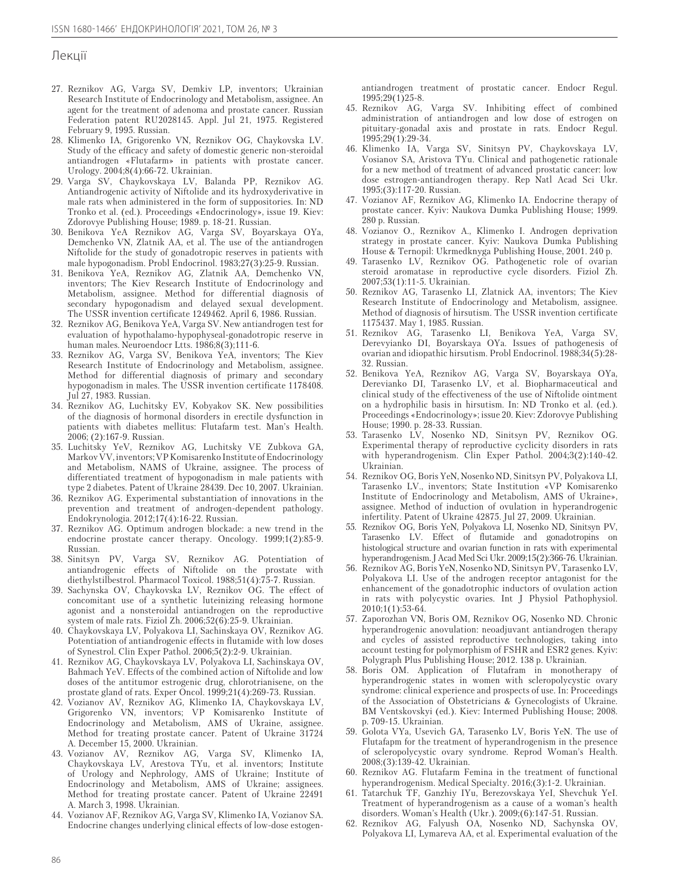- 27. Reznikov AG, Varga SV, Demkiv LP, inventors; Ukrainian Research Institute of Endocrinology and Metabolism, assignee. An agent for the treatment of adenoma and prostate cancer. Russian Federation patent RU2028145. Appl. Jul 21, 1975. Registered February 9, 1995. Russian.
- 28. Klimenko IA, Grigorenko VN, Reznikov OG, Chaykovska LV. Study of the efficacy and safety of domestic generic non-steroidal antiandrogen «Flutafarm» in patients with prostate cancer. Urology. 2004;8(4):66-72. Ukrainian.
- 29. Varga SV, Chaykovskaya LV, Balanda PP, Reznikov AG. Antiandrogenic activity of Niftolide and its hydroxyderivative in male rats when administered in the form of suppositories. In: ND Tronko et al. (ed.). Proceedings «Endocrinology», issue 19. Kiev: Zdorovye Publishing House; 1989. p. 18-21. Russian.
- 30. Benikova YeA Reznikov AG, Varga SV, Boyarskaya OYa, Demchenko VN, Zlatnik AA, et al. The use of the antiandrogen Niftolide for the study of gonadotropic reserves in patients with male hypogonadism. Probl Endocrinol. 1983;27(3):25-9. Russian.
- 31. Benikova YeA, Reznikov AG, Zlatnik AA, Demchenko VN, inventors; The Kiev Research Institute of Endocrinology and Metabolism, assignee. Method for differential diagnosis of secondary hypogonadism and delayed sexual development. The USSR invention certificate 1249462. April 6, 1986. Russian.
- 32. Reznikov AG, Benikova YeA, Varga SV. New antiandrogen test for evaluation of hypothalamo-hypophyseal-gonadotropic reserve in human males. Neuroendocr Ltts. 1986;8(3);111-6.
- 33. Reznikov AG, Varga SV, Benikova YeA, inventors; The Kiev Research Institute of Endocrinology and Metabolism, assignee. Method for differential diagnosis of primary and secondary hypogonadism in males. The USSR invention certificate 1178408. Jul 27, 1983. Russian.
- 34. Reznikov АG, Luchitsky EV, Kobyakov SK. New possibilities of the diagnosis of hormonal disorders in erectile dysfunction in patients with diabetes mellitus: Flutafarm test. Man's Health. 2006; (2):167-9. Russian.
- 35. Luchitsky YeV, Reznikov АG, Luchitsky VE Zubkova GA, Markov VV, inventors; VP Komisarenko Institute of Endocrinology and Metabolism, NAMS of Ukraine, assignee. The process of differentiated treatment of hypogonadism in male patients with type 2 diabetes. Patent of Ukraine 28439. Dec 10, 2007. Ukrainian.
- 36. Reznikov AG. Experimental substantiation of innovations in the prevention and treatment of androgen-dependent pathology. Endokrynologia. 2012;17(4):16-22. Russian.
- 37. Reznikov AG. Optimum androgen blockade: a new trend in the endocrine prostate cancer therapy. Oncology. 1999;1(2):85-9. Russian.
- 38. Sinitsyn PV, Varga SV, Reznikov AG. Potentiation of antiandrogenic effects of Niftolide on the prostate with diethylstilbestrol. Pharmacol Toxicol. 1988;51(4):75-7. Russian.
- 39. Sachynska OV, Chaykovska LV, Reznikov OG. The effect of concomitant use of a synthetic luteinizing releasing hormone agonist and a nonsteroidal antiandrogen on the reproductive system of male rats. Fiziol Zh. 2006;52(6):25-9. Ukrainian.
- 40. Chaykovskaya LV, Polyakova LI, Sachinskaya OV, Reznikov AG. Potentiation of antiandrogenic effects in flutamide with low doses of Synestrol. Clin Exper Pathol. 2006;5(2):2-9. Ukrainian.
- 41. Reznikov AG, Chaykovskaya LV, Polyakova LI, Sachinskaya OV, Bahmach YeV. Effects of the combined action of Niftolide and low doses of the antitumor estrogenic drug, chlorotrianisene, on the prostate gland of rats. Exper Oncol. 1999;21(4):269-73. Russian.
- 42. Vozianov AV, Reznikov AG, Klimenko IA, Chaykovskaya LV, Grigorenko VN, inventors; VP Komisarenko Institute of Endocrinology and Metabolism, AMS of Ukraine, assignee. Method for treating prostate cancer. Patent of Ukraine 31724 A. December 15, 2000. Ukrainian.
- 43. Vozianov AV, Reznikov AG, Varga SV, Klimenko IA, Chaykovskaya LV, Arestova TYu, et al. inventors; Institute of Urology and Nephrology, AMS of Ukraine; Institute of Endocrinology and Metabolism, AMS of Ukraine; assignees. Method for treating prostate cancer. Patent of Ukraine 22491 A. March 3, 1998. Ukrainian.
- 44. Vozianov AF, Reznikov AG, Varga SV, Klimenko IA, Vozianov SA. Endocrine changes underlying clinical effects of low-dose estogen-

antiandrogen treatment of prostatic cancer. Endocr Regul. 1995;29(1)25-8.

- 45. Reznikov AG, Varga SV. Inhibiting effect of combined administration of antiandrogen and low dose of estrogen on pituitary-gonadal axis and prostate in rats. Endocr Regul. 1995;29(1):29-34.
- 46. Klimenko IA, Varga SV, Sinitsyn PV, Chaykovskaya LV, Vosianov SA, Aristova TYu. Clinical and pathogenetic rationale for a new method of treatment of advanced prostatic cancer: low dose estrogen-antiandrogen therapy. Rep Natl Acad Sci Ukr. 1995;(3):117-20. Russian.
- 47. Vozianov AF, Reznikov AG, Klimenko IA. Endocrine therapy of prostate cancer. Kyiv: Naukova Dumka Publishing House; 1999. 280 p. Russian.
- 48. Vozianov O., Reznikov A., Klimenko I. Androgen deprivation strategy in prostate cancer. Kyiv: Naukova Dumka Publishing House & Ternopil: Ukrmedknyga Publishing House, 2001. 240 p.
- 49. Tarasenko LV, Reznikov OG. Pathogenetic role of ovarian steroid aromatase in reproductive cycle disorders. Fiziol Zh. 2007;53(1):11-5. Ukrainian.
- 50. Reznikov AG, Tarasenko LI, Zlatnick AA, inventors; The Kiev Research Institute of Endocrinology and Metabolism, assignee. Method of diagnosis of hirsutism. The USSR invention certificate 1175437. May 1, 1985. Russian.
- 51. Reznikov AG, Tarasenko LI, Benikova YeA, Varga SV, Derevyianko DI, Boyarskaya OYa. Issues of pathogenesis of ovarian and idiopathic hirsutism. Probl Endocrinol. 1988;34(5):28- 32. Russian.
- 52. Benikova YeA, Reznikov AG, Varga SV, Boyarskaya OYa, Derevianko DI, Tarasenko LV, et al. Biopharmaceutical and clinical study of the effectiveness of the use of Niftolide ointment on a hydrophilic basis in hirsutism. In: ND Tronko et al. (ed.). Proceedings «Endocrinology»; issue 20. Kiev: Zdorovye Publishing House; 1990. p. 28-33. Russian.
- 53. Tarasenko LV, Nosenko ND, Sinitsyn PV, Reznikov OG. Experimental therapy of reproductive cyclicity disorders in rats with hyperandrogenism. Clin Exper Pathol. 2004;3(2):140-42. Ukrainian.
- 54. Reznikov OG, Boris YeN, Nosenko ND, Sinitsyn PV, Polyakova LI, Tarasenko LV., inventors; State Institution «VP Komisarenko Institute of Endocrinology and Metabolism, AMS of Ukraine», assignee. Method of induction of ovulation in hyperandrogenic infertility. Patent of Ukraine 42875. Jul 27, 2009. Ukrainian.
- 55. Reznikov OG, Boris YeN, Polyakova LI, Nosenko ND, Sinitsyn PV, Tarasenko LV. Effect of flutamide and gonadotropins on histological structure and ovarian function in rats with experimental hyperandrogenism. J Acad Med Sci Ukr. 2009;15(2):366-76. Ukrainian.
- 56. Reznikov AG, Boris YeN, Nosenko ND, Sinitsyn PV, Tarasenko LV, Polyakova LI. Use of the androgen receptor antagonist for the enhancement of the gonadotrophic inductors of ovulation action in rats with polycystic ovaries. Int J Physiol Pathophysiol. 2010;1(1):53-64.
- 57. Zaporozhan VN, Boris OM, Reznikov OG, Nosenko ND. Chronic hyperandrogenic anovulation: neoadjuvant antiandrogen therapy and cycles of assisted reproductive technologies, taking into account testing for polymorphism of FSHR and ESR2 genes. Kyiv: Polygraph Plus Publishing House; 2012. 138 p. Ukrainian.
- 58. Boris OM. Application of Flutafram in monotherapy of hyperandrogenic states in women with scleropolycystic ovary syndrome: clinical experience and prospects of use. In: Proceedings of the Association of Obstetricians & Gynecologists of Ukraine. BM Ventskovskyi (ed.). Kiev: Intermed Publishing House; 2008. p. 709-15. Ukrainian.
- 59. Golota VYa, Usevich GA, Tarasenko LV, Boris YeN. The use of Flutafapm for the treatment of hyperandrogenism in the presence of scleropolycystic ovary syndrome. Reprod Woman's Health. 2008;(3):139-42. Ukrainian.
- 60. Reznikov AG. Flutafarm Femina in the treatment of functional hyperandrogenism. Medical Specialty. 2016;(3):1-2. Ukrainian.
- 61. Tatarchuk TF, Ganzhiy IYu, Berezovskaya YeI, Shevchuk YeI. Treatment of hyperandrogenism as a cause of a woman's health disorders. Woman's Health (Ukr.). 2009;(6):147-51. Russian.
- 62. Reznikov AG, Falyush OA, Nosenko ND, Sachynska OV, Polyakova LI, Lymareva AA, et al. Experimental evaluation of the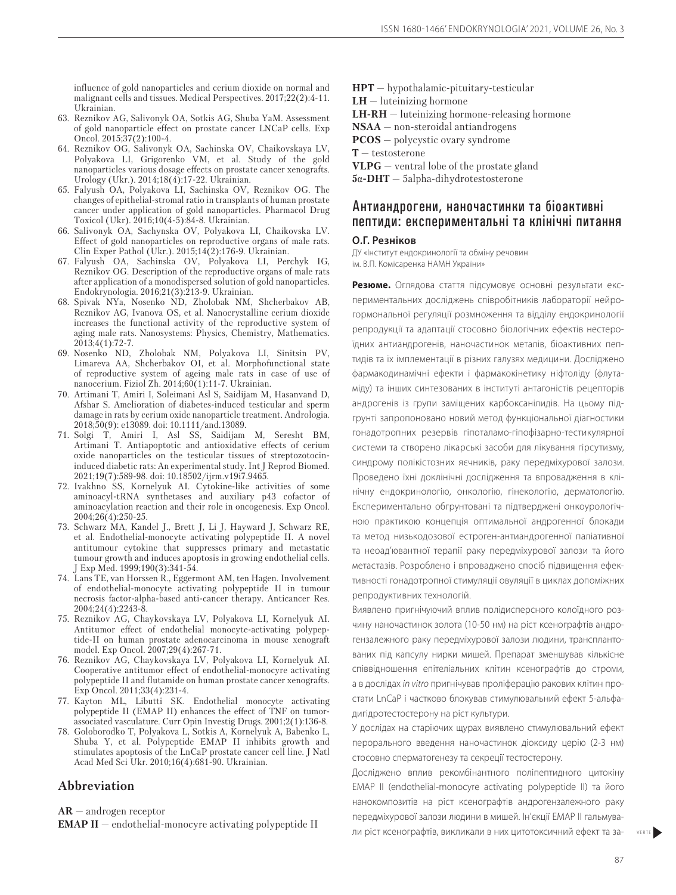influence of gold nanoparticles and cerium dioxide on normal and malignant cells and tissues. Medical Perspectives. 2017;22(2):4-11. Ukrainian.

- 63. Reznikov AG, Salivonyk OA, Sotkis AG, Shuba YaM. Assessment of gold nanoparticle effect on prostate cancer LNCaP cells. Exp Oncol. 2015;37(2):100-4.
- 64. Reznikov OG, Salivonyk OA, Sachinska OV, Chaikovskaya LV, Polyakova LI, Grigorenko VM, et al. Study of the gold nanoparticles various dosage effects on prostate cancer xenografts. Urology (Ukr.). 2014;18(4):17-22. Ukrainian.
- 65. Falyush OA, Polyakova LI, Sachinska OV, Reznikov OG. The changes of epithelial-stromal ratio in transplants of human prostate cancer under application of gold nanoparticles. Pharmacol Drug Toxicol (Ukr). 2016;10(4-5):84-8. Ukrainian.
- 66. Salivonyk OA, Sachynska ОV, Polyakova LI, Сhaikovskа LV. Effect of gold nanoparticles on reproductive organs of male rats. Clin Exper Pathol (Ukr.). 2015;14(2):176-9. Ukrainian.
- 67. Falyush OA, Sachinska OV, Polyakova LI, Perchyk IG, Reznikov OG. Description of the reproductive organs of male rats after application of a monodispersed solution of gold nanoparticles. Endokrynologia. 2016;21(3):213-9. Ukrainian.
- 68. Spivak NYa, Nosenko ND, Zholobak NM, Shcherbakov AB, Reznikov AG, Ivanova OS, et al. Nanocrystalline cerium dioxide increases the functional activity of the reproductive system of aging male rats. Nanosystems: Physics, Chemistry, Mathematics. 2013;4(1):72-7.
- 69. Nosenko ND, Zholobak NM, Polyakova LI, Sinitsin PV, Limarеva AA, Shcherbakov OI, et al. Morphofunctional state of reproductive system of ageing male rats in case of use of nanocerium. Fiziol Zh. 2014;60(1):11-7. Ukrainian.
- 70. Artimani T, Amiri I, Soleimani Asl S, Saidijam M, Hasanvand D, Afshar S. Amelioration of diabetes-induced testicular and sperm damage in rats by cerium oxide nanoparticle treatment. Andrologia. 2018;50(9): e13089. doi: 10.1111/and.13089.
- 71. Solgi T, Amiri I, Asl SS, Saidijam M, Seresht BM, Artimani T. Antiapoptotic and antioxidative effects of cerium oxide nanoparticles on the testicular tissues of streptozotocininduced diabetic rats: An experimental study. Int J Reprod Biomed. 2021;19(7):589-98. doi: 10.18502/ijrm.v19i7.9465.
- 72. Ivakhno SS, Kornelyuk AI. Cytokine-like activities of some aminoacyl-tRNA synthetases and auxiliary p43 cofactor of aminoacylation reaction and their role in oncogenesis. Exp Oncol. 2004;26(4):250-25.
- 73. Schwarz MA, Kandel J., Brett J, Li J, Hayward J, Schwarz RE, et al. Endothelial-monocyte activating polypeptide II. A novel antitumour cytokine that suppresses primary and metastatic tumour growth and induces apoptosis in growing endothelial cells. J Exp Med. 1999;190(3):341-54.
- 74. Lans TE, van Horssen R., Eggermont AM, ten Hagen. Involvement of endothelial-monocyte activating polypeptide II in tumour necrosis factor-alpha-based anti-cancer therapy. Anticancer Res. 2004;24(4):2243-8.
- 75. Reznikov AG, Chaykovskaya LV, Polyakova LI, Kornelyuk AI. Antitumor effect of endothelial monocyte-activating polypeptide-II on human prostate adenocarcinoma in mouse xenograft model. Exp Oncol. 2007;29(4):267-71.
- 76. Reznikov AG, Chaykovskaya LV, Polyakova LI, Kornelyuk AI. Cooperative antitumor effect of endothelial-monocyre activating polypeptide II and flutamide on human prostate cancer xenografts. Exp Oncol. 2011;33(4):231-4.
- 77. Kayton ML, Libutti SK. Endothelial monocyte activating polypeptide II (EMAP II) enhances the effect of TNF on tumorassociated vasculature. Curr Opin Investig Drugs. 2001;2(1):136-8.
- 78. Goloborodko T, Polyakova L, Sotkis A, Kornelyuk A, Babenko L, Shuba Y, et al. Polypeptide EMAP II inhibits growth and stimulates apoptosis of the LnCaP prostate cancer cell line. J Natl Acad Med Sci Ukr. 2010;16(4):681-90. Ukrainian.

#### **Abbreviation**

**AR** — androgen receptor

**EMAP II** — endothelial-monocyre activating polypeptide II

**HPT** — hypothalamic-pituitary-testicular **LH** — luteinizing hormone

**LH-RH** — luteinizing hormone-releasing hormone

- **NSAA** non-steroidal antiandrogens
- **PCOS** polycystic ovary syndrome
- **T** testosterone
- **VLPG** ventral lobe of the prostate gland
- **5**α**-DHT** 5alpha-dihydrotestosterone

## Антиандрогени, наночастинки та біоактивні пептиди: експериментальні та клінічні питання

#### **О.Г. Резніков**

ДУ «Інститут ендокринології та обміну речовин ім. В.П. Комісаренка НАМН України»

**Резюме.** Оглядова стаття підсумовує основні результати експериментальних досліджень співробітників лабораторії нейрогормональної регуляції розмноження та відділу ендокринології репродукції та адаптації стосовно біологічних ефектів нестероїдних антиандрогенів, наночастинок металів, біоактивних пептидів та їх імплементації в різних галузях медицини. Досліджено фармакодинамічні ефекти і фармакокінетику ніфтоліду (флутаміду) та інших синтезованих в інституті антагоністів рецепторів андрогенів із групи заміщених карбоксанілидів. На цьому підгрунті запропоновано новий метод функціональної діагностики гонадотропних резервів гіпоталамо-гіпофізарно-тестикулярної системи та створено лікарські засоби для лікування гірсутизму, синдрому полікістозних яєчників, раку передміхурової залози. Проведено їхні доклінічні дослідження та впровадження в клінічну ендокринологію, онкологію, гінекологію, дерматологію. Експериментально обгрунтовані та підтверджені онкоурологічною практикою концепція оптимальної андрогенної блокади та метод низькодозової естроген-антиандрогенної паліативної та неоад'ювантної терапії раку передміхурової залози та його метастазів. Розроблено і впроваджено спосіб підвищення ефективності гонадотропної стимуляції овуляції в циклах допоміжних репродуктивних технологій.

Виявлено пригнічуючий вплив полідисперсного колоїдного розчину наночастинок золота (10-50 нм) на ріст ксенографтів андрогензалежного раку передміхурової залози людини, трансплантованих під капсулу нирки мишей. Препарат зменшував кількісне співвідношення епітеліальних клітин ксенографтів до строми, а в дослідах *in vitro* пригнічував проліферацію ракових клітин простати LnCaP і частково блокував стимулювальний ефект 5-альфадигідротестостерону на ріст культури.

У дослідах на старіючих щурах виявлено стимулювальний ефект перорального введення наночастинок діоксиду церію (2-3 нм) стосовно сперматогенезу та секреції тестостерону.

Досліджено вплив рекомбінантного поліпептидного цитокіну EMAP II (endothelial-monocyre activating polypeptide II) та його нанокомпозитів на ріст ксенографтів андрогензалежного раку передміхурової залози людини в мишей. Ін'єкції EMAP II гальмували ріст ксенографтів, викликали в них цитотоксичний ефект та за-

VERTI